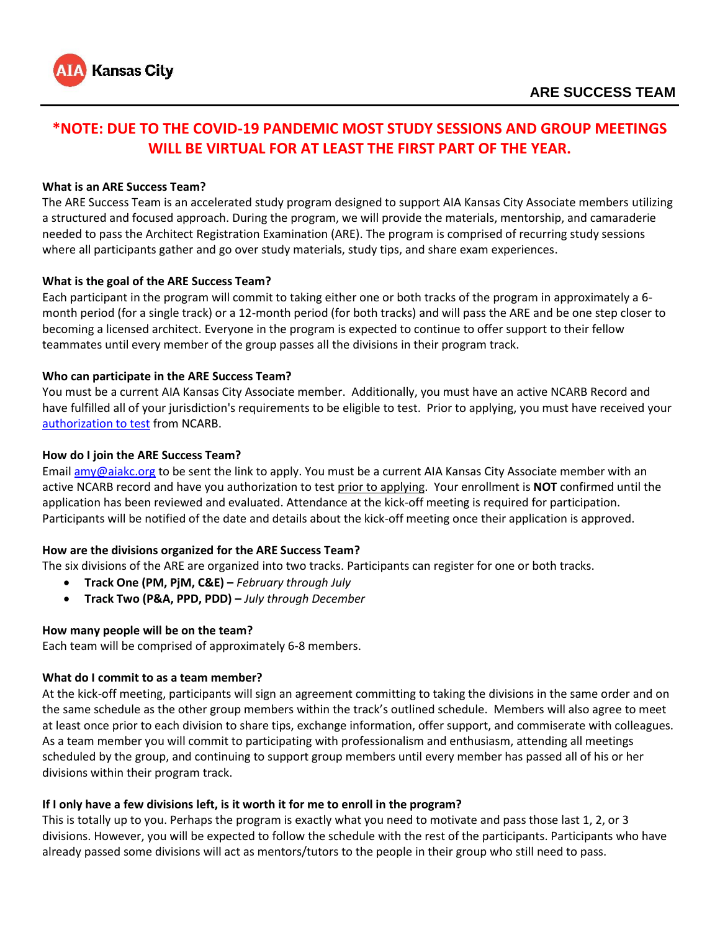

# **\*NOTE: DUE TO THE COVID-19 PANDEMIC MOST STUDY SESSIONS AND GROUP MEETINGS WILL BE VIRTUAL FOR AT LEAST THE FIRST PART OF THE YEAR.**

## **What is an ARE Success Team?**

The ARE Success Team is an accelerated study program designed to support AIA Kansas City Associate members utilizing a structured and focused approach. During the program, we will provide the materials, mentorship, and camaraderie needed to pass the Architect Registration Examination (ARE). The program is comprised of recurring study sessions where all participants gather and go over study materials, study tips, and share exam experiences.

## **What is the goal of the ARE Success Team?**

Each participant in the program will commit to taking either one or both tracks of the program in approximately a 6 month period (for a single track) or a 12-month period (for both tracks) and will pass the ARE and be one step closer to becoming a licensed architect. Everyone in the program is expected to continue to offer support to their fellow teammates until every member of the group passes all the divisions in their program track.

## **Who can participate in the ARE Success Team?**

You must be a current AIA Kansas City Associate member. Additionally, you must have an active NCARB Record and have fulfilled all of your jurisdiction's requirements to be eligible to test. Prior to applying, you must have received your [authorization to test](https://www.ncarb.org/pass-the-are/start/exam-eligibility) from NCARB.

## **How do I join the ARE Success Team?**

Email [amy@aiakc.org](mailto:amy@aiakc.org) to be sent the link to apply. You must be a current AIA Kansas City Associate member with an active NCARB record and have you authorization to test prior to applying. Your enrollment is **NOT** confirmed until the application has been reviewed and evaluated. Attendance at the kick-off meeting is required for participation. Participants will be notified of the date and details about the kick-off meeting once their application is approved.

# **How are the divisions organized for the ARE Success Team?**

The six divisions of the ARE are organized into two tracks. Participants can register for one or both tracks.

- **Track One (PM, PjM, C&E) –** *February through July*
- **Track Two (P&A, PPD, PDD) –** *July through December*

#### **How many people will be on the team?**

Each team will be comprised of approximately 6-8 members.

## **What do I commit to as a team member?**

At the kick-off meeting, participants will sign an agreement committing to taking the divisions in the same order and on the same schedule as the other group members within the track's outlined schedule. Members will also agree to meet at least once prior to each division to share tips, exchange information, offer support, and commiserate with colleagues. As a team member you will commit to participating with professionalism and enthusiasm, attending all meetings scheduled by the group, and continuing to support group members until every member has passed all of his or her divisions within their program track.

#### **If I only have a few divisions left, is it worth it for me to enroll in the program?**

This is totally up to you. Perhaps the program is exactly what you need to motivate and pass those last 1, 2, or 3 divisions. However, you will be expected to follow the schedule with the rest of the participants. Participants who have already passed some divisions will act as mentors/tutors to the people in their group who still need to pass.